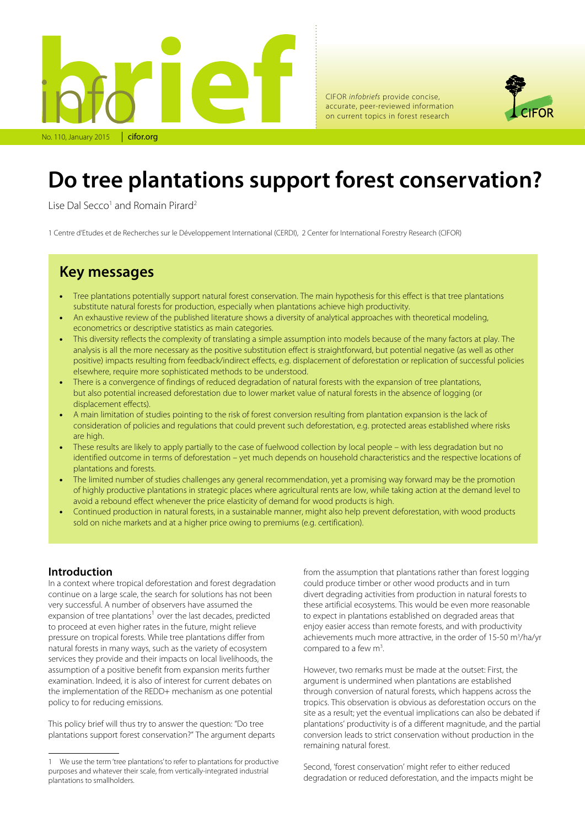

CIFOR *infobriefs* provide concise, accurate, peer-reviewed information on current topics in forest research



### **Do tree plantations support forest conservation?**

Lise Dal Secco<sup>1</sup> and Romain Pirard<sup>2</sup>

1 Centre d'Etudes et de Recherches sur le Développement International (CERDI), 2 Center for International Forestry Research (CIFOR)

### **Key messages**

- Tree plantations potentially support natural forest conservation. The main hypothesis for this effect is that tree plantations substitute natural forests for production, especially when plantations achieve high productivity.
- An exhaustive review of the published literature shows a diversity of analytical approaches with theoretical modeling, econometrics or descriptive statistics as main categories.
- This diversity reflects the complexity of translating a simple assumption into models because of the many factors at play. The analysis is all the more necessary as the positive substitution effect is straightforward, but potential negative (as well as other positive) impacts resulting from feedback/indirect effects, e.g. displacement of deforestation or replication of successful policies elsewhere, require more sophisticated methods to be understood.
- There is a convergence of findings of reduced degradation of natural forests with the expansion of tree plantations, but also potential increased deforestation due to lower market value of natural forests in the absence of logging (or displacement effects).
- A main limitation of studies pointing to the risk of forest conversion resulting from plantation expansion is the lack of consideration of policies and regulations that could prevent such deforestation, e.g. protected areas established where risks are high.
- These results are likely to apply partially to the case of fuelwood collection by local people with less degradation but no identified outcome in terms of deforestation – yet much depends on household characteristics and the respective locations of plantations and forests.
- The limited number of studies challenges any general recommendation, yet a promising way forward may be the promotion of highly productive plantations in strategic places where agricultural rents are low, while taking action at the demand level to avoid a rebound effect whenever the price elasticity of demand for wood products is high.
- Continued production in natural forests, in a sustainable manner, might also help prevent deforestation, with wood products sold on niche markets and at a higher price owing to premiums (e.g. certification).

#### **Introduction**

In a context where tropical deforestation and forest degradation continue on a large scale, the search for solutions has not been very successful. A number of observers have assumed the expansion of tree plantations<sup>1</sup> over the last decades, predicted to proceed at even higher rates in the future, might relieve pressure on tropical forests. While tree plantations differ from natural forests in many ways, such as the variety of ecosystem services they provide and their impacts on local livelihoods, the assumption of a positive benefit from expansion merits further examination. Indeed, it is also of interest for current debates on the implementation of the REDD+ mechanism as one potential policy to for reducing emissions.

This policy brief will thus try to answer the question: "Do tree plantations support forest conservation?" The argument departs

from the assumption that plantations rather than forest logging could produce timber or other wood products and in turn divert degrading activities from production in natural forests to these artificial ecosystems. This would be even more reasonable to expect in plantations established on degraded areas that enjoy easier access than remote forests, and with productivity achievements much more attractive, in the order of 15-50 m<sup>3</sup>/ha/yr compared to a few  $m^3$ . .

However, two remarks must be made at the outset: First, the argument is undermined when plantations are established through conversion of natural forests, which happens across the tropics. This observation is obvious as deforestation occurs on the site as a result; yet the eventual implications can also be debated if plantations' productivity is of a different magnitude, and the partial conversion leads to strict conservation without production in the remaining natural forest.

Second, 'forest conservation' might refer to either reduced degradation or reduced deforestation, and the impacts might be

We use the term 'tree plantations' to refer to plantations for productive purposes and whatever their scale, from vertically-integrated industrial plantations to smallholders.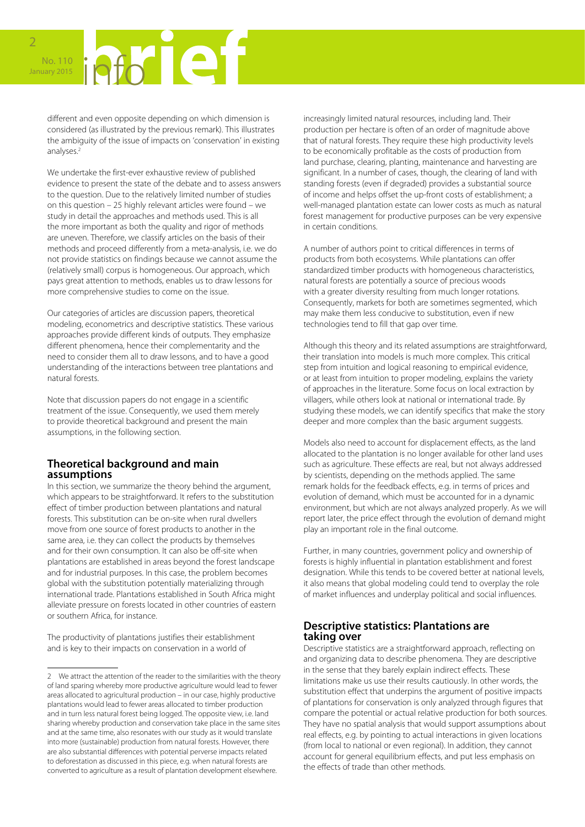# No. 110 January 2015

different and even opposite depending on which dimension is considered (as illustrated by the previous remark). This illustrates the ambiguity of the issue of impacts on 'conservation' in existing analyses.2

We undertake the first-ever exhaustive review of published evidence to present the state of the debate and to assess answers to the question. Due to the relatively limited number of studies on this question – 25 highly relevant articles were found – we study in detail the approaches and methods used. This is all the more important as both the quality and rigor of methods are uneven. Therefore, we classify articles on the basis of their methods and proceed differently from a meta-analysis, i.e. we do not provide statistics on findings because we cannot assume the (relatively small) corpus is homogeneous. Our approach, which pays great attention to methods, enables us to draw lessons for more comprehensive studies to come on the issue.

Our categories of articles are discussion papers, theoretical modeling, econometrics and descriptive statistics. These various approaches provide different kinds of outputs. They emphasize different phenomena, hence their complementarity and the need to consider them all to draw lessons, and to have a good understanding of the interactions between tree plantations and natural forests.

Note that discussion papers do not engage in a scientific treatment of the issue. Consequently, we used them merely to provide theoretical background and present the main assumptions, in the following section.

#### **Theoretical background and main assumptions**

In this section, we summarize the theory behind the argument, which appears to be straightforward. It refers to the substitution effect of timber production between plantations and natural forests. This substitution can be on-site when rural dwellers move from one source of forest products to another in the same area, i.e. they can collect the products by themselves and for their own consumption. It can also be off-site when plantations are established in areas beyond the forest landscape and for industrial purposes. In this case, the problem becomes global with the substitution potentially materializing through international trade. Plantations established in South Africa might alleviate pressure on forests located in other countries of eastern or southern Africa, for instance.

The productivity of plantations justifies their establishment and is key to their impacts on conservation in a world of

increasingly limited natural resources, including land. Their production per hectare is often of an order of magnitude above that of natural forests. They require these high productivity levels to be economically profitable as the costs of production from land purchase, clearing, planting, maintenance and harvesting are significant. In a number of cases, though, the clearing of land with standing forests (even if degraded) provides a substantial source of income and helps offset the up-front costs of establishment; a well-managed plantation estate can lower costs as much as natural forest management for productive purposes can be very expensive in certain conditions.

A number of authors point to critical differences in terms of products from both ecosystems. While plantations can offer standardized timber products with homogeneous characteristics, natural forests are potentially a source of precious woods with a greater diversity resulting from much longer rotations. Consequently, markets for both are sometimes segmented, which may make them less conducive to substitution, even if new technologies tend to fill that gap over time.

Although this theory and its related assumptions are straightforward, their translation into models is much more complex. This critical step from intuition and logical reasoning to empirical evidence, or at least from intuition to proper modeling, explains the variety of approaches in the literature. Some focus on local extraction by villagers, while others look at national or international trade. By studying these models, we can identify specifics that make the story deeper and more complex than the basic argument suggests.

Models also need to account for displacement effects, as the land allocated to the plantation is no longer available for other land uses such as agriculture. These effects are real, but not always addressed by scientists, depending on the methods applied. The same remark holds for the feedback effects, e.g. in terms of prices and evolution of demand, which must be accounted for in a dynamic environment, but which are not always analyzed properly. As we will report later, the price effect through the evolution of demand might play an important role in the final outcome.

Further, in many countries, government policy and ownership of forests is highly influential in plantation establishment and forest designation. While this tends to be covered better at national levels, it also means that global modeling could tend to overplay the role of market influences and underplay political and social influences.

#### **Descriptive statistics: Plantations are taking over**

Descriptive statistics are a straightforward approach, reflecting on and organizing data to describe phenomena. They are descriptive in the sense that they barely explain indirect effects. These limitations make us use their results cautiously. In other words, the substitution effect that underpins the argument of positive impacts of plantations for conservation is only analyzed through figures that compare the potential or actual relative production for both sources. They have no spatial analysis that would support assumptions about real effects, e.g. by pointing to actual interactions in given locations (from local to national or even regional). In addition, they cannot account for general equilibrium effects, and put less emphasis on the effects of trade than other methods.

<sup>2</sup> We attract the attention of the reader to the similarities with the theory of land sparing whereby more productive agriculture would lead to fewer areas allocated to agricultural production – in our case, highly productive plantations would lead to fewer areas allocated to timber production and in turn less natural forest being logged. The opposite view, i.e. land sharing whereby production and conservation take place in the same sites and at the same time, also resonates with our study as it would translate into more (sustainable) production from natural forests. However, there are also substantial differences with potential perverse impacts related to deforestation as discussed in this piece, e.g. when natural forests are converted to agriculture as a result of plantation development elsewhere.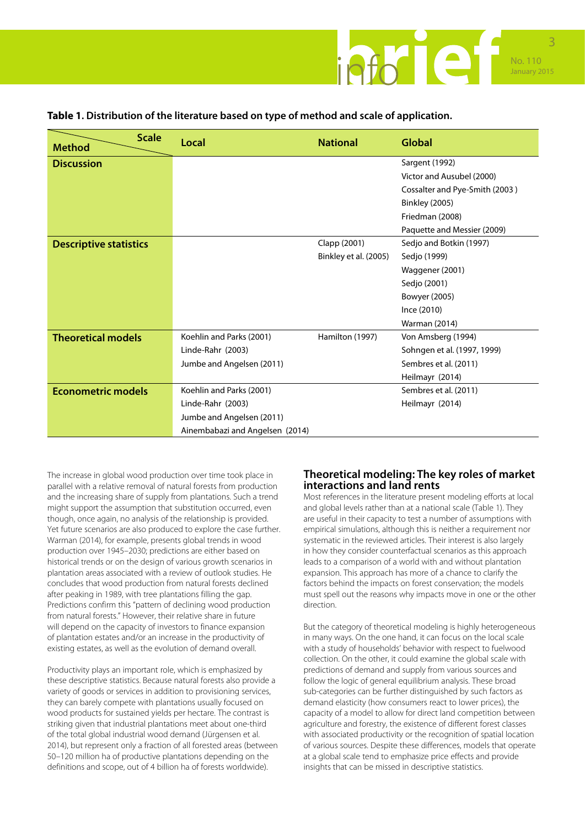

#### **Table 1. Distribution of the literature based on type of method and scale of application.**

| <b>Scale</b><br><b>Method</b> | Local                           | <b>National</b>       | <b>Global</b>                  |
|-------------------------------|---------------------------------|-----------------------|--------------------------------|
| <b>Discussion</b>             |                                 |                       | Sargent (1992)                 |
|                               |                                 |                       | Victor and Ausubel (2000)      |
|                               |                                 |                       | Cossalter and Pye-Smith (2003) |
|                               |                                 |                       | <b>Binkley (2005)</b>          |
|                               |                                 |                       | Friedman (2008)                |
|                               |                                 |                       | Paquette and Messier (2009)    |
| <b>Descriptive statistics</b> |                                 | Clapp (2001)          | Sedjo and Botkin (1997)        |
|                               |                                 | Binkley et al. (2005) | Sedjo (1999)                   |
|                               |                                 |                       | Waggener (2001)                |
|                               |                                 |                       | Sedjo (2001)                   |
|                               |                                 |                       | Bowyer (2005)                  |
|                               |                                 |                       | Ince (2010)                    |
|                               |                                 |                       | Warman (2014)                  |
| <b>Theoretical models</b>     | Koehlin and Parks (2001)        | Hamilton (1997)       | Von Amsberg (1994)             |
|                               | Linde-Rahr (2003)               |                       | Sohngen et al. (1997, 1999)    |
|                               | Jumbe and Angelsen (2011)       |                       | Sembres et al. (2011)          |
|                               |                                 |                       | Heilmayr (2014)                |
| <b>Econometric models</b>     | Koehlin and Parks (2001)        |                       | Sembres et al. (2011)          |
|                               | Linde-Rahr (2003)               |                       | Heilmayr (2014)                |
|                               | Jumbe and Angelsen (2011)       |                       |                                |
|                               | Ainembabazi and Angelsen (2014) |                       |                                |

The increase in global wood production over time took place in parallel with a relative removal of natural forests from production and the increasing share of supply from plantations. Such a trend might support the assumption that substitution occurred, even though, once again, no analysis of the relationship is provided. Yet future scenarios are also produced to explore the case further. Warman (2014), for example, presents global trends in wood production over 1945–2030; predictions are either based on historical trends or on the design of various growth scenarios in plantation areas associated with a review of outlook studies. He concludes that wood production from natural forests declined after peaking in 1989, with tree plantations filling the gap. Predictions confirm this "pattern of declining wood production from natural forests." However, their relative share in future will depend on the capacity of investors to finance expansion of plantation estates and/or an increase in the productivity of existing estates, as well as the evolution of demand overall.

Productivity plays an important role, which is emphasized by these descriptive statistics. Because natural forests also provide a variety of goods or services in addition to provisioning services, they can barely compete with plantations usually focused on wood products for sustained yields per hectare. The contrast is striking given that industrial plantations meet about one-third of the total global industrial wood demand (Jürgensen et al. 2014), but represent only a fraction of all forested areas (between 50–120 million ha of productive plantations depending on the definitions and scope, out of 4 billion ha of forests worldwide).

#### **Theoretical modeling: The key roles of market interactions and land rents**

Most references in the literature present modeling efforts at local and global levels rather than at a national scale (Table 1). They are useful in their capacity to test a number of assumptions with empirical simulations, although this is neither a requirement nor systematic in the reviewed articles. Their interest is also largely in how they consider counterfactual scenarios as this approach leads to a comparison of a world with and without plantation expansion. This approach has more of a chance to clarify the factors behind the impacts on forest conservation; the models must spell out the reasons why impacts move in one or the other direction.

But the category of theoretical modeling is highly heterogeneous in many ways. On the one hand, it can focus on the local scale with a study of households' behavior with respect to fuelwood collection. On the other, it could examine the global scale with predictions of demand and supply from various sources and follow the logic of general equilibrium analysis. These broad sub-categories can be further distinguished by such factors as demand elasticity (how consumers react to lower prices), the capacity of a model to allow for direct land competition between agriculture and forestry, the existence of different forest classes with associated productivity or the recognition of spatial location of various sources. Despite these differences, models that operate at a global scale tend to emphasize price effects and provide insights that can be missed in descriptive statistics.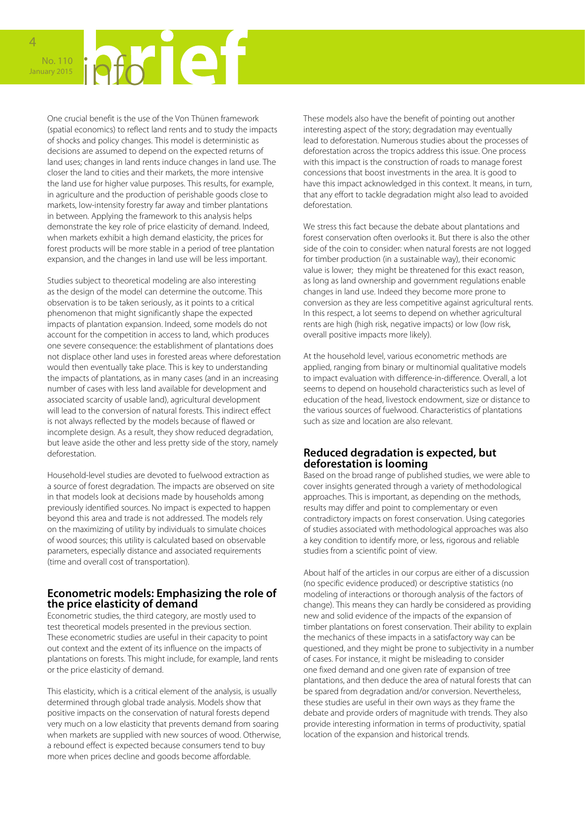4

One crucial benefit is the use of the Von Thünen framework (spatial economics) to reflect land rents and to study the impacts of shocks and policy changes. This model is deterministic as decisions are assumed to depend on the expected returns of land uses; changes in land rents induce changes in land use. The closer the land to cities and their markets, the more intensive the land use for higher value purposes. This results, for example, in agriculture and the production of perishable goods close to markets, low-intensity forestry far away and timber plantations in between. Applying the framework to this analysis helps demonstrate the key role of price elasticity of demand. Indeed, when markets exhibit a high demand elasticity, the prices for forest products will be more stable in a period of tree plantation expansion, and the changes in land use will be less important.

Studies subject to theoretical modeling are also interesting as the design of the model can determine the outcome. This observation is to be taken seriously, as it points to a critical phenomenon that might significantly shape the expected impacts of plantation expansion. Indeed, some models do not account for the competition in access to land, which produces one severe consequence: the establishment of plantations does not displace other land uses in forested areas where deforestation would then eventually take place. This is key to understanding the impacts of plantations, as in many cases (and in an increasing number of cases with less land available for development and associated scarcity of usable land), agricultural development will lead to the conversion of natural forests. This indirect effect is not always reflected by the models because of flawed or incomplete design. As a result, they show reduced degradation, but leave aside the other and less pretty side of the story, namely deforestation.

Household-level studies are devoted to fuelwood extraction as a source of forest degradation. The impacts are observed on site in that models look at decisions made by households among previously identified sources. No impact is expected to happen beyond this area and trade is not addressed. The models rely on the maximizing of utility by individuals to simulate choices of wood sources; this utility is calculated based on observable parameters, especially distance and associated requirements (time and overall cost of transportation).

#### **Econometric models: Emphasizing the role of the price elasticity of demand**

Econometric studies, the third category, are mostly used to test theoretical models presented in the previous section. These econometric studies are useful in their capacity to point out context and the extent of its influence on the impacts of plantations on forests. This might include, for example, land rents or the price elasticity of demand.

This elasticity, which is a critical element of the analysis, is usually determined through global trade analysis. Models show that positive impacts on the conservation of natural forests depend very much on a low elasticity that prevents demand from soaring when markets are supplied with new sources of wood. Otherwise, a rebound effect is expected because consumers tend to buy more when prices decline and goods become affordable.

These models also have the benefit of pointing out another interesting aspect of the story; degradation may eventually lead to deforestation. Numerous studies about the processes of deforestation across the tropics address this issue. One process with this impact is the construction of roads to manage forest concessions that boost investments in the area. It is good to have this impact acknowledged in this context. It means, in turn, that any effort to tackle degradation might also lead to avoided deforestation.

We stress this fact because the debate about plantations and forest conservation often overlooks it. But there is also the other side of the coin to consider: when natural forests are not logged for timber production (in a sustainable way), their economic value is lower; they might be threatened for this exact reason, as long as land ownership and government regulations enable changes in land use. Indeed they become more prone to conversion as they are less competitive against agricultural rents. In this respect, a lot seems to depend on whether agricultural rents are high (high risk, negative impacts) or low (low risk, overall positive impacts more likely).

At the household level, various econometric methods are applied, ranging from binary or multinomial qualitative models to impact evaluation with difference-in-difference. Overall, a lot seems to depend on household characteristics such as level of education of the head, livestock endowment, size or distance to the various sources of fuelwood. Characteristics of plantations such as size and location are also relevant.

#### **Reduced degradation is expected, but deforestation is looming**

Based on the broad range of published studies, we were able to cover insights generated through a variety of methodological approaches. This is important, as depending on the methods, results may differ and point to complementary or even contradictory impacts on forest conservation. Using categories of studies associated with methodological approaches was also a key condition to identify more, or less, rigorous and reliable studies from a scientific point of view.

About half of the articles in our corpus are either of a discussion (no specific evidence produced) or descriptive statistics (no modeling of interactions or thorough analysis of the factors of change). This means they can hardly be considered as providing new and solid evidence of the impacts of the expansion of timber plantations on forest conservation. Their ability to explain the mechanics of these impacts in a satisfactory way can be questioned, and they might be prone to subjectivity in a number of cases. For instance, it might be misleading to consider one fixed demand and one given rate of expansion of tree plantations, and then deduce the area of natural forests that can be spared from degradation and/or conversion. Nevertheless, these studies are useful in their own ways as they frame the debate and provide orders of magnitude with trends. They also provide interesting information in terms of productivity, spatial location of the expansion and historical trends.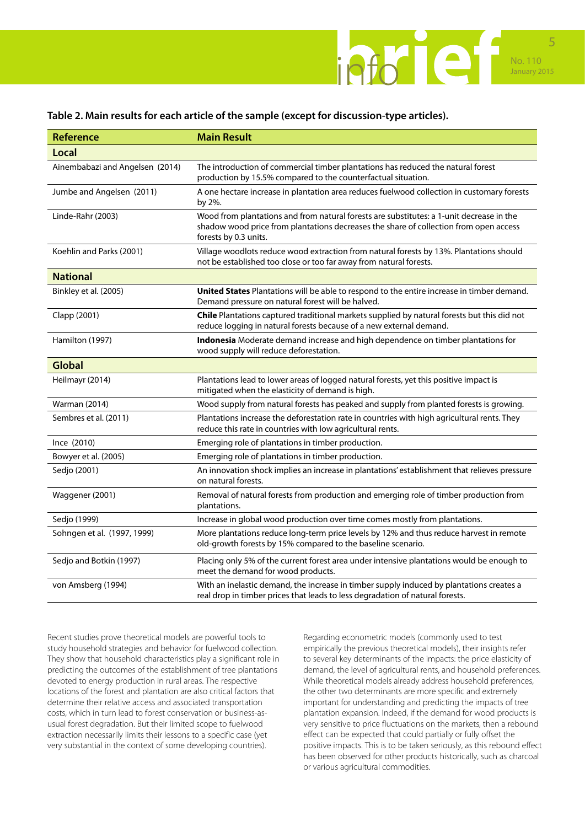

#### **Table 2. Main results for each article of the sample (except for discussion-type articles).**

| <b>Reference</b>                | <b>Main Result</b>                                                                                                                                                                                         |  |
|---------------------------------|------------------------------------------------------------------------------------------------------------------------------------------------------------------------------------------------------------|--|
| <b>Local</b>                    |                                                                                                                                                                                                            |  |
| Ainembabazi and Angelsen (2014) | The introduction of commercial timber plantations has reduced the natural forest<br>production by 15.5% compared to the counterfactual situation.                                                          |  |
| Jumbe and Angelsen (2011)       | A one hectare increase in plantation area reduces fuelwood collection in customary forests<br>by 2%.                                                                                                       |  |
| Linde-Rahr (2003)               | Wood from plantations and from natural forests are substitutes: a 1-unit decrease in the<br>shadow wood price from plantations decreases the share of collection from open access<br>forests by 0.3 units. |  |
| Koehlin and Parks (2001)        | Village woodlots reduce wood extraction from natural forests by 13%. Plantations should<br>not be established too close or too far away from natural forests.                                              |  |
| <b>National</b>                 |                                                                                                                                                                                                            |  |
| Binkley et al. (2005)           | United States Plantations will be able to respond to the entire increase in timber demand.<br>Demand pressure on natural forest will be halved.                                                            |  |
| Clapp (2001)                    | Chile Plantations captured traditional markets supplied by natural forests but this did not<br>reduce logging in natural forests because of a new external demand.                                         |  |
| Hamilton (1997)                 | Indonesia Moderate demand increase and high dependence on timber plantations for<br>wood supply will reduce deforestation.                                                                                 |  |
| <b>Global</b>                   |                                                                                                                                                                                                            |  |
| Heilmayr (2014)                 | Plantations lead to lower areas of logged natural forests, yet this positive impact is<br>mitigated when the elasticity of demand is high.                                                                 |  |
| Warman (2014)                   | Wood supply from natural forests has peaked and supply from planted forests is growing.                                                                                                                    |  |
| Sembres et al. (2011)           | Plantations increase the deforestation rate in countries with high agricultural rents. They<br>reduce this rate in countries with low agricultural rents.                                                  |  |
| Ince (2010)                     | Emerging role of plantations in timber production.                                                                                                                                                         |  |
| Bowyer et al. (2005)            | Emerging role of plantations in timber production.                                                                                                                                                         |  |
| Sedjo (2001)                    | An innovation shock implies an increase in plantations' establishment that relieves pressure<br>on natural forests.                                                                                        |  |
| Waggener (2001)                 | Removal of natural forests from production and emerging role of timber production from<br>plantations.                                                                                                     |  |
| Sedjo (1999)                    | Increase in global wood production over time comes mostly from plantations.                                                                                                                                |  |
| Sohngen et al. (1997, 1999)     | More plantations reduce long-term price levels by 12% and thus reduce harvest in remote<br>old-growth forests by 15% compared to the baseline scenario.                                                    |  |
| Sedjo and Botkin (1997)         | Placing only 5% of the current forest area under intensive plantations would be enough to<br>meet the demand for wood products.                                                                            |  |
| von Amsberg (1994)              | With an inelastic demand, the increase in timber supply induced by plantations creates a<br>real drop in timber prices that leads to less degradation of natural forests.                                  |  |

Recent studies prove theoretical models are powerful tools to study household strategies and behavior for fuelwood collection. They show that household characteristics play a significant role in predicting the outcomes of the establishment of tree plantations devoted to energy production in rural areas. The respective locations of the forest and plantation are also critical factors that determine their relative access and associated transportation costs, which in turn lead to forest conservation or business-asusual forest degradation. But their limited scope to fuelwood extraction necessarily limits their lessons to a specific case (yet very substantial in the context of some developing countries).

Regarding econometric models (commonly used to test empirically the previous theoretical models), their insights refer to several key determinants of the impacts: the price elasticity of demand, the level of agricultural rents, and household preferences. While theoretical models already address household preferences, the other two determinants are more specific and extremely important for understanding and predicting the impacts of tree plantation expansion. Indeed, if the demand for wood products is very sensitive to price fluctuations on the markets, then a rebound effect can be expected that could partially or fully offset the positive impacts. This is to be taken seriously, as this rebound effect has been observed for other products historically, such as charcoal or various agricultural commodities.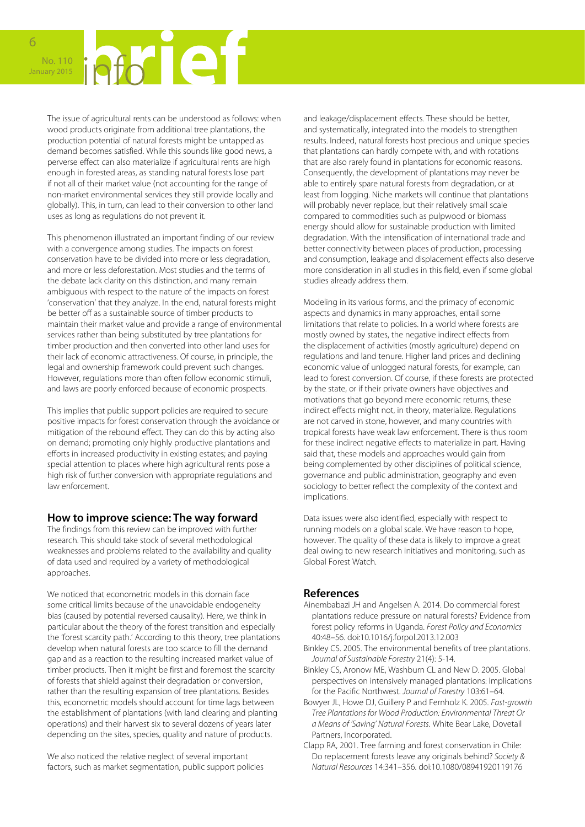# No. 110 January 2015

The issue of agricultural rents can be understood as follows: when wood products originate from additional tree plantations, the production potential of natural forests might be untapped as demand becomes satisfied. While this sounds like good news, a perverse effect can also materialize if agricultural rents are high enough in forested areas, as standing natural forests lose part if not all of their market value (not accounting for the range of non-market environmental services they still provide locally and globally). This, in turn, can lead to their conversion to other land uses as long as regulations do not prevent it.

This phenomenon illustrated an important finding of our review with a convergence among studies. The impacts on forest conservation have to be divided into more or less degradation, and more or less deforestation. Most studies and the terms of the debate lack clarity on this distinction, and many remain ambiguous with respect to the nature of the impacts on forest 'conservation' that they analyze. In the end, natural forests might be better off as a sustainable source of timber products to maintain their market value and provide a range of environmental services rather than being substituted by tree plantations for timber production and then converted into other land uses for their lack of economic attractiveness. Of course, in principle, the legal and ownership framework could prevent such changes. However, regulations more than often follow economic stimuli, and laws are poorly enforced because of economic prospects.

This implies that public support policies are required to secure positive impacts for forest conservation through the avoidance or mitigation of the rebound effect. They can do this by acting also on demand; promoting only highly productive plantations and efforts in increased productivity in existing estates; and paying special attention to places where high agricultural rents pose a high risk of further conversion with appropriate regulations and law enforcement.

#### **How to improve science: The way forward**

The findings from this review can be improved with further research. This should take stock of several methodological weaknesses and problems related to the availability and quality of data used and required by a variety of methodological approaches.

We noticed that econometric models in this domain face some critical limits because of the unavoidable endogeneity bias (caused by potential reversed causality). Here, we think in particular about the theory of the forest transition and especially the 'forest scarcity path.' According to this theory, tree plantations develop when natural forests are too scarce to fill the demand gap and as a reaction to the resulting increased market value of timber products. Then it might be first and foremost the scarcity of forests that shield against their degradation or conversion, rather than the resulting expansion of tree plantations. Besides this, econometric models should account for time lags between the establishment of plantations (with land clearing and planting operations) and their harvest six to several dozens of years later depending on the sites, species, quality and nature of products.

We also noticed the relative neglect of several important factors, such as market segmentation, public support policies and leakage/displacement effects. These should be better, and systematically, integrated into the models to strengthen results. Indeed, natural forests host precious and unique species that plantations can hardly compete with, and with rotations that are also rarely found in plantations for economic reasons. Consequently, the development of plantations may never be able to entirely spare natural forests from degradation, or at least from logging. Niche markets will continue that plantations will probably never replace, but their relatively small scale compared to commodities such as pulpwood or biomass energy should allow for sustainable production with limited degradation. With the intensification of international trade and better connectivity between places of production, processing and consumption, leakage and displacement effects also deserve more consideration in all studies in this field, even if some global studies already address them.

Modeling in its various forms, and the primacy of economic aspects and dynamics in many approaches, entail some limitations that relate to policies. In a world where forests are mostly owned by states, the negative indirect effects from the displacement of activities (mostly agriculture) depend on regulations and land tenure. Higher land prices and declining economic value of unlogged natural forests, for example, can lead to forest conversion. Of course, if these forests are protected by the state, or if their private owners have objectives and motivations that go beyond mere economic returns, these indirect effects might not, in theory, materialize. Regulations are not carved in stone, however, and many countries with tropical forests have weak law enforcement. There is thus room for these indirect negative effects to materialize in part. Having said that, these models and approaches would gain from being complemented by other disciplines of political science, governance and public administration, geography and even sociology to better reflect the complexity of the context and implications.

Data issues were also identified, especially with respect to running models on a global scale. We have reason to hope, however. The quality of these data is likely to improve a great deal owing to new research initiatives and monitoring, such as Global Forest Watch.

#### **References**

- Ainembabazi JH and Angelsen A. 2014. Do commercial forest plantations reduce pressure on natural forests? Evidence from forest policy reforms in Uganda. *Forest Policy and Economics* 40:48–56. doi:10.1016/j.forpol.2013.12.003
- Binkley CS. 2005. The environmental benefits of tree plantations. *Journal of Sustainable Forestry* 21(4): 5-14.
- Binkley CS, Aronow ME, Washburn CL and New D. 2005. Global perspectives on intensively managed plantations: Implications for the Pacific Northwest. *Journal of Forestry* 103:61–64.
- Bowyer JL, Howe DJ, Guillery P and Fernholz K. 2005. *Fast-growth Tree Plantations for Wood Production: Environmental Threat Or a Means of 'Saving' Natural Forests.* White Bear Lake, Dovetail Partners, Incorporated.
- Clapp RA, 2001. Tree farming and forest conservation in Chile: Do replacement forests leave any originals behind? *Society & Natural Resources* 14:341–356. doi:10.1080/08941920119176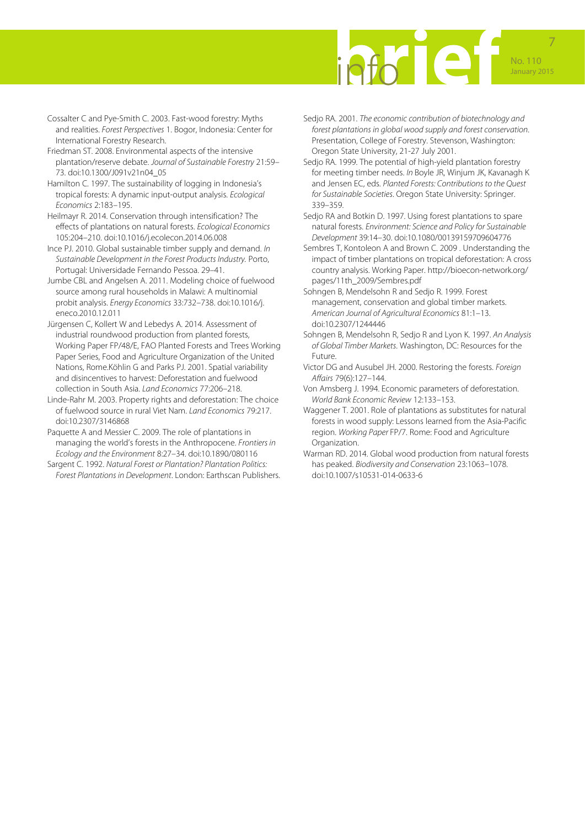

- Cossalter C and Pye-Smith C. 2003. Fast-wood forestry: Myths and realities. *Forest Perspectives* 1. Bogor, Indonesia: Center for International Forestry Research.
- Friedman ST. 2008. Environmental aspects of the intensive plantation/reserve debate. *Journal of Sustainable Forestry* 21:59– 73. doi:10.1300/J091v21n04\_05
- Hamilton C. 1997. The sustainability of logging in Indonesia's tropical forests: A dynamic input-output analysis. *Ecological Economics* 2:183–195.
- Heilmayr R. 2014. Conservation through intensification? The effects of plantations on natural forests. *Ecological Economics* 105:204–210. doi:10.1016/j.ecolecon.2014.06.008
- Ince PJ. 2010. Global sustainable timber supply and demand. *In Sustainable Development in the Forest Products Industry.* Porto, Portugal: Universidade Fernando Pessoa. 29–41.
- Jumbe CBL and Angelsen A. 2011. Modeling choice of fuelwood source among rural households in Malawi: A multinomial probit analysis. *Energy Economics* 33:732–738. doi:10.1016/j. eneco.2010.12.011
- Jürgensen C, Kollert W and Lebedys A. 2014. Assessment of industrial roundwood production from planted forests, Working Paper FP/48/E, FAO Planted Forests and Trees Working Paper Series, Food and Agriculture Organization of the United Nations, Rome.Köhlin G and Parks PJ. 2001. Spatial variability and disincentives to harvest: Deforestation and fuelwood collection in South Asia. *Land Economics* 77:206–218.
- Linde-Rahr M. 2003. Property rights and deforestation: The choice of fuelwood source in rural Viet Nam. *Land Economics* 79:217. doi:10.2307/3146868
- Paquette A and Messier C. 2009. The role of plantations in managing the world's forests in the Anthropocene. *Frontiers in Ecology and the Environment* 8:27–34. doi:10.1890/080116
- Sargent C. 1992. *Natural Forest or Plantation? Plantation Politics: Forest Plantations in Development*. London: Earthscan Publishers.
- Sedjo RA. 2001. *The economic contribution of biotechnology and forest plantations in global wood supply and forest conservation*. Presentation, College of Forestry. Stevenson, Washington: Oregon State University, 21-27 July 2001.
- Sedjo RA. 1999. The potential of high-yield plantation forestry for meeting timber needs. *In* Boyle JR, Winjum JK, Kavanagh K and Jensen EC, eds. *Planted Forests: Contributions to the Quest for Sustainable Societies*. Oregon State University: Springer. 339–359.
- Sedjo RA and Botkin D. 1997. Using forest plantations to spare natural forests. *Environment: Science and Policy for Sustainable Development* 39:14–30. doi:10.1080/00139159709604776
- Sembres T, Kontoleon A and Brown C. 2009 . Understanding the impact of timber plantations on tropical deforestation: A cross country analysis. Working Paper. http://bioecon-network.org/ pages/11th\_2009/Sembres.pdf
- Sohngen B, Mendelsohn R and Sedjo R. 1999. Forest management, conservation and global timber markets. *American Journal of Agricultural Economics* 81:1–13. doi:10.2307/1244446
- Sohngen B, Mendelsohn R, Sedjo R and Lyon K. 1997. *An Analysis of Global Timber Markets*. Washington, DC: Resources for the Future.
- Victor DG and Ausubel JH. 2000. Restoring the forests. *Foreign Affairs* 79(6):127–144.
- Von Amsberg J. 1994. Economic parameters of deforestation. *World Bank Economic Review* 12:133–153.
- Waggener T. 2001. Role of plantations as substitutes for natural forests in wood supply: Lessons learned from the Asia-Pacific region. *Working Paper* FP/7. Rome: Food and Agriculture Organization.
- Warman RD. 2014. Global wood production from natural forests has peaked. *Biodiversity and Conservation* 23:1063–1078. doi:10.1007/s10531-014-0633-6